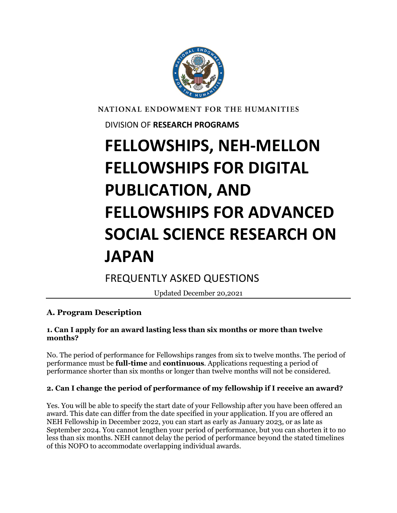

NATIONAL ENDOWMENT FOR THE HUMANITIES

DIVISION OF **RESEARCH PROGRAMS**

# **FELLOWSHIPS, NEH-MELLON FELLOWSHIPS FOR DIGITAL PUBLICATION, AND FELLOWSHIPS FOR ADVANCED SOCIAL SCIENCE RESEARCH ON JAPAN**

FREQUENTLY ASKED QUESTIONS

Updated December 20,2021

# **A. Program Description**

## **1. Can I apply for an award lasting less than six months or more than twelve months?**

No. The period of performance for Fellowships ranges from six to twelve months. The period of performance must be **full-time** and **continuous**. Applications requesting a period of performance shorter than six months or longer than twelve months will not be considered.

# **2. Can I change the period of performance of my fellowship if I receive an award?**

Yes. You will be able to specify the start date of your Fellowship after you have been offered an award. This date can differ from the date specified in your application. If you are offered an NEH Fellowship in December 2022, you can start as early as January 2023, or as late as September 2024. You cannot lengthen your period of performance, but you can shorten it to no less than six months. NEH cannot delay the period of performance beyond the stated timelines of this NOFO to accommodate overlapping individual awards.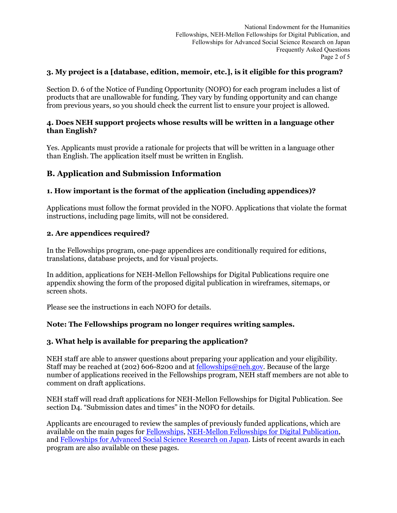## **3. My project is a [database, edition, memoir, etc.], is it eligible for this program?**

Section D. 6 of the Notice of Funding Opportunity (NOFO) for each program includes a list of products that are unallowable for funding. They vary by funding opportunity and can change from previous years, so you should check the current list to ensure your project is allowed.

#### **4. Does NEH support projects whose results will be written in a language other than English?**

Yes. Applicants must provide a rationale for projects that will be written in a language other than English. The application itself must be written in English.

# **B. Application and Submission Information**

### **1. How important is the format of the application (including appendices)?**

Applications must follow the format provided in the NOFO. Applications that violate the format instructions, including page limits, will not be considered.

#### **2. Are appendices required?**

In the Fellowships program, one-page appendices are conditionally required for editions, translations, database projects, and for visual projects.

In addition, applications for NEH-Mellon Fellowships for Digital Publications require one appendix showing the form of the proposed digital publication in wireframes, sitemaps, or screen shots.

Please see the instructions in each NOFO for details.

#### **Note: The Fellowships program no longer requires writing samples.**

#### **3. What help is available for preparing the application?**

NEH staff are able to answer questions about preparing your application and your eligibility. Staff may be reached at (202) 606-8200 and at [fellowships@neh.gov.](mailto:fellowships@neh.gov) Because of the large number of applications received in the Fellowships program, NEH staff members are not able to comment on draft applications.

NEH staff will read draft applications for NEH-Mellon Fellowships for Digital Publication. See section D4. "Submission dates and times" in the NOFO for details.

Applicants are encouraged to review the samples of previously funded applications, which are available on the main pages for [Fellowships,](https://www.neh.gov/grants/research/fellowships) [NEH-Mellon Fellowships for Digital Publication,](https://www.neh.gov/grants/research/neh-mellon-fellowships-digital-publication) and [Fellowships for Advanced Social Science Research on Japan.](https://www.neh.gov/grants/research/fellowships-advanced-social-science-research-japan) Lists of recent awards in each program are also available on these pages.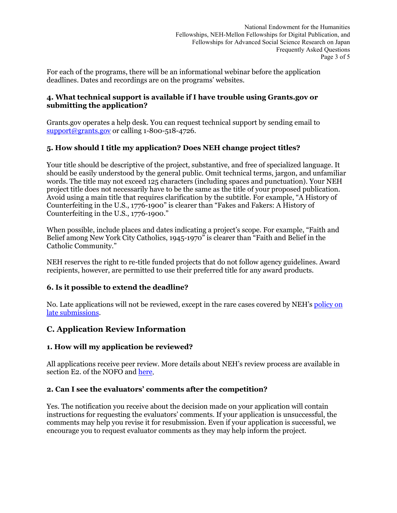For each of the programs, there will be an informational webinar before the application deadlines. Dates and recordings are on the programs' websites.

## **4. What technical support is available if I have trouble using Grants.gov or submitting the application?**

Grants.gov operates a help desk. You can request technical support by sending email to [support@grants.gov](mailto:support@grants.gov) or calling 1-800-518-4726.

# **5. How should I title my application? Does NEH change project titles?**

Your title should be descriptive of the project, substantive, and free of specialized language. It should be easily understood by the general public. Omit technical terms, jargon, and unfamiliar words. The title may not exceed 125 characters (including spaces and punctuation). Your NEH project title does not necessarily have to be the same as the title of your proposed publication. Avoid using a main title that requires clarification by the subtitle. For example, "A History of Counterfeiting in the U.S., 1776-1900" is clearer than "Fakes and Fakers: A History of Counterfeiting in the U.S., 1776-1900."

When possible, include places and dates indicating a project's scope. For example, "Faith and Belief among New York City Catholics, 1945-1970" is clearer than "Faith and Belief in the Catholic Community."

NEH reserves the right to re-title funded projects that do not follow agency guidelines. Award recipients, however, are permitted to use their preferred title for any award products.

## **6. Is it possible to extend the deadline?**

No. Late applications will not be reviewed, except in the rare cases covered by NEH'[s policy on](https://www.neh.gov/grants/policy-on-late-submissions)  [late submissions.](https://www.neh.gov/grants/policy-on-late-submissions)

# **C. Application Review Information**

## **1. How will my application be reviewed?**

All applications receive peer review. More details about NEH's review process are available in section E2. of the NOFO and [here.](https://www.neh.gov/grants/application-process)

#### **2. Can I see the evaluators' comments after the competition?**

Yes. The notification you receive about the decision made on your application will contain instructions for requesting the evaluators' comments. If your application is unsuccessful, the comments may help you revise it for resubmission. Even if your application is successful, we encourage you to request evaluator comments as they may help inform the project.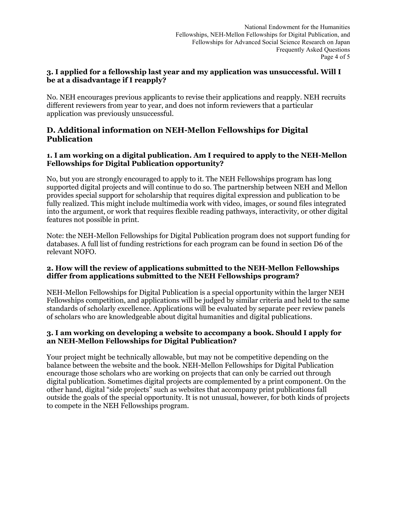## **3. I applied for a fellowship last year and my application was unsuccessful. Will I be at a disadvantage if I reapply?**

No. NEH encourages previous applicants to revise their applications and reapply. NEH recruits different reviewers from year to year, and does not inform reviewers that a particular application was previously unsuccessful.

# **D. Additional information on NEH-Mellon Fellowships for Digital Publication**

## **1. I am working on a digital publication. Am I required to apply to the NEH-Mellon Fellowships for Digital Publication opportunity?**

No, but you are strongly encouraged to apply to it. The NEH Fellowships program has long supported digital projects and will continue to do so. The partnership between NEH and Mellon provides special support for scholarship that requires digital expression and publication to be fully realized. This might include multimedia work with video, images, or sound files integrated into the argument, or work that requires flexible reading pathways, interactivity, or other digital features not possible in print.

Note: the NEH-Mellon Fellowships for Digital Publication program does not support funding for databases. A full list of funding restrictions for each program can be found in section D6 of the relevant NOFO.

### **2. How will the review of applications submitted to the NEH-Mellon Fellowships differ from applications submitted to the NEH Fellowships program?**

NEH-Mellon Fellowships for Digital Publication is a special opportunity within the larger NEH Fellowships competition, and applications will be judged by similar criteria and held to the same standards of scholarly excellence. Applications will be evaluated by separate peer review panels of scholars who are knowledgeable about digital humanities and digital publications.

### **3. I am working on developing a website to accompany a book. Should I apply for an NEH-Mellon Fellowships for Digital Publication?**

Your project might be technically allowable, but may not be competitive depending on the balance between the website and the book. NEH-Mellon Fellowships for Digital Publication encourage those scholars who are working on projects that can only be carried out through digital publication. Sometimes digital projects are complemented by a print component. On the other hand, digital "side projects" such as websites that accompany print publications fall outside the goals of the special opportunity. It is not unusual, however, for both kinds of projects to compete in the NEH Fellowships program.